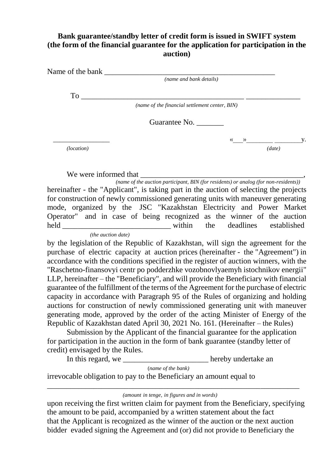## **Bank guarantee/standby letter of credit form is issued in SWIFT system (the form of the financial guarantee for the application for participation in the auction)**

|                     | (name and bank details)                        |    |
|---------------------|------------------------------------------------|----|
| To                  |                                                |    |
|                     | (name of the financial settlement center, BIN) |    |
|                     | Guarantee No.                                  |    |
|                     | «<br>$\rightarrow$                             | V. |
| ( <i>location</i> ) | (data)                                         |    |

We were informed that \_\_\_\_\_\_\_\_\_\_\_\_\_\_\_\_\_\_\_\_\_\_\_\_\_\_\_\_\_\_\_\_\_\_\_\_\_\_\_\_\_\_,

 *(name of the auction participant, BIN (for residents) or analog (for non-residents))* hereinafter - the "Applicant", is taking part in the auction of selecting the projects for construction of newly commissioned generating units with maneuver generating

mode, organized by the JSC "Kazakhstan Electricity and Power Market Operator" and in case of being recognized as the winner of the auction held \_\_\_\_\_\_\_\_\_\_\_\_\_\_\_\_\_\_\_\_\_\_\_\_\_\_\_\_ within the deadlines established  *(the auction date)*

by the legislation of the Republic of Kazakhstan, will sign the agreement for the purchase of electric capacity at auction prices (hereinafter - the "Agreement") in accordance with the conditions specified in the register of auction winners, with the "Raschetno-finansovyi centr po podderzhke vozobnovlyaemyh istochnikov energii" LLP, hereinafter – the "Beneficiary", and will provide the Beneficiary with financial guarantee of the fulfillment of the terms of the Agreement for the purchase of electric capacity in accordance with Paragraph 95 of the Rules of organizing and holding auctions for construction of newly commissioned generating unit with maneuver generating mode, approved by the order of the acting Minister of Energy of the Republic of Kazakhstan dated April 30, 2021 No. 161. (Hereinafter – the Rules)

Submission by the Applicant of the financial guarantee for the application for participation in the auction in the form of bank guarantee (standby letter of credit) envisaged by the Rules.

In this regard, we hereby undertake an (*name of the bank)* irrevocable obligation to pay to the Beneficiary an amount equal to

## *(amount in tenge, in figures and in words)*

\_\_\_\_\_\_\_\_\_\_\_\_\_\_\_\_\_\_\_\_\_\_\_\_\_\_\_\_\_\_\_\_\_\_\_\_\_\_\_\_\_\_\_\_\_\_\_\_\_\_\_\_\_\_\_\_\_\_\_\_\_\_\_\_\_

upon receiving the first written claim for payment from the Beneficiary, specifying the amount to be paid, accompanied by a written statement about the fact that the Applicant is recognized as the winner of the auction or the next auction bidder evaded signing the Agreement and (or) did not provide to Beneficiary the